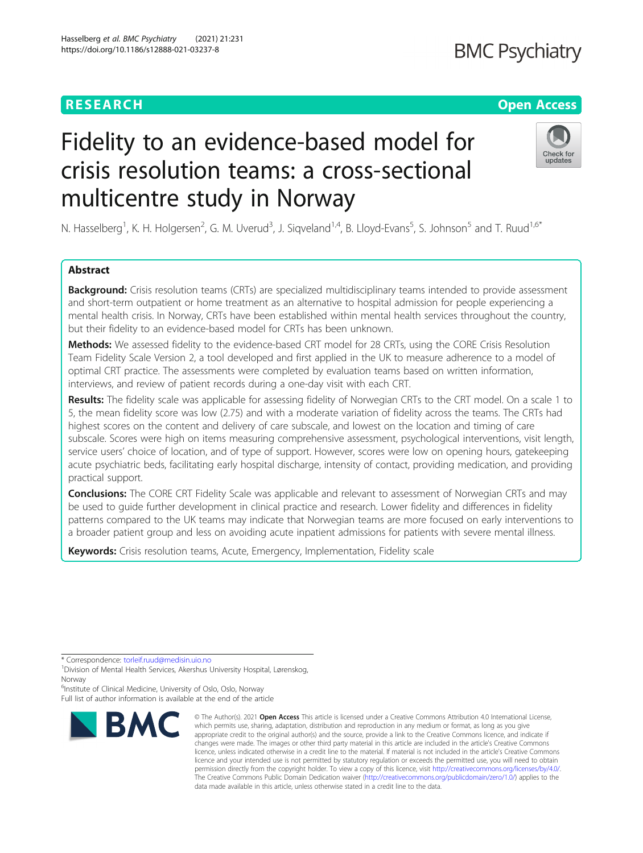# **RESEARCH CHEAR CHEAR CHEAR CHEAR CHEAR CHEAP CONTROL**

# **BMC Psychiatry**

# Check for updates

N. Hasselberg<sup>1</sup>, K. H. Holgersen<sup>2</sup>, G. M. Uverud<sup>3</sup>, J. Siqveland<sup>1,4</sup>, B. Lloyd-Evans<sup>5</sup>, S. Johnson<sup>5</sup> and T. Ruud<sup>1,6\*</sup>

Fidelity to an evidence-based model for

crisis resolution teams: a cross-sectional

multicentre study in Norway

# Abstract

**Background:** Crisis resolution teams (CRTs) are specialized multidisciplinary teams intended to provide assessment and short-term outpatient or home treatment as an alternative to hospital admission for people experiencing a mental health crisis. In Norway, CRTs have been established within mental health services throughout the country, but their fidelity to an evidence-based model for CRTs has been unknown.

Methods: We assessed fidelity to the evidence-based CRT model for 28 CRTs, using the CORE Crisis Resolution Team Fidelity Scale Version 2, a tool developed and first applied in the UK to measure adherence to a model of optimal CRT practice. The assessments were completed by evaluation teams based on written information, interviews, and review of patient records during a one-day visit with each CRT.

Results: The fidelity scale was applicable for assessing fidelity of Norwegian CRTs to the CRT model. On a scale 1 to 5, the mean fidelity score was low (2.75) and with a moderate variation of fidelity across the teams. The CRTs had highest scores on the content and delivery of care subscale, and lowest on the location and timing of care subscale. Scores were high on items measuring comprehensive assessment, psychological interventions, visit length, service users' choice of location, and of type of support. However, scores were low on opening hours, gatekeeping acute psychiatric beds, facilitating early hospital discharge, intensity of contact, providing medication, and providing practical support.

**Conclusions:** The CORE CRT Fidelity Scale was applicable and relevant to assessment of Norwegian CRTs and may be used to guide further development in clinical practice and research. Lower fidelity and differences in fidelity patterns compared to the UK teams may indicate that Norwegian teams are more focused on early interventions to a broader patient group and less on avoiding acute inpatient admissions for patients with severe mental illness.

Keywords: Crisis resolution teams, Acute, Emergency, Implementation, Fidelity scale

\* Correspondence: [torleif.ruud@medisin.uio.no](mailto:torleif.ruud@medisin.uio.no) <sup>1</sup>

<sup>6</sup>Institute of Clinical Medicine, University of Oslo, Oslo, Norway Full list of author information is available at the end of the article



<sup>©</sup> The Author(s), 2021 **Open Access** This article is licensed under a Creative Commons Attribution 4.0 International License, which permits use, sharing, adaptation, distribution and reproduction in any medium or format, as long as you give appropriate credit to the original author(s) and the source, provide a link to the Creative Commons licence, and indicate if changes were made. The images or other third party material in this article are included in the article's Creative Commons licence, unless indicated otherwise in a credit line to the material. If material is not included in the article's Creative Commons licence and your intended use is not permitted by statutory regulation or exceeds the permitted use, you will need to obtain permission directly from the copyright holder. To view a copy of this licence, visit [http://creativecommons.org/licenses/by/4.0/.](http://creativecommons.org/licenses/by/4.0/) The Creative Commons Public Domain Dedication waiver [\(http://creativecommons.org/publicdomain/zero/1.0/](http://creativecommons.org/publicdomain/zero/1.0/)) applies to the data made available in this article, unless otherwise stated in a credit line to the data.

Division of Mental Health Services, Akershus University Hospital, Lørenskog, Norway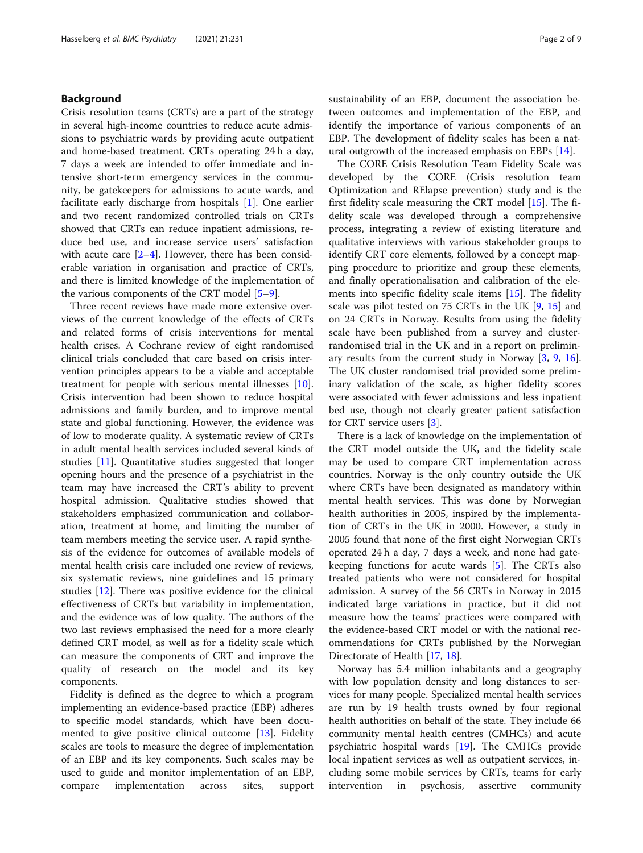# Background

Crisis resolution teams (CRTs) are a part of the strategy in several high-income countries to reduce acute admissions to psychiatric wards by providing acute outpatient and home-based treatment. CRTs operating 24 h a day, 7 days a week are intended to offer immediate and intensive short-term emergency services in the community, be gatekeepers for admissions to acute wards, and facilitate early discharge from hospitals [[1\]](#page-8-0). One earlier and two recent randomized controlled trials on CRTs showed that CRTs can reduce inpatient admissions, reduce bed use, and increase service users' satisfaction with acute care  $[2-4]$  $[2-4]$  $[2-4]$  $[2-4]$ . However, there has been considerable variation in organisation and practice of CRTs, and there is limited knowledge of the implementation of the various components of the CRT model [\[5](#page-8-0)–[9](#page-8-0)].

Three recent reviews have made more extensive overviews of the current knowledge of the effects of CRTs and related forms of crisis interventions for mental health crises. A Cochrane review of eight randomised clinical trials concluded that care based on crisis intervention principles appears to be a viable and acceptable treatment for people with serious mental illnesses [\[10](#page-8-0)]. Crisis intervention had been shown to reduce hospital admissions and family burden, and to improve mental state and global functioning. However, the evidence was of low to moderate quality. A systematic review of CRTs in adult mental health services included several kinds of studies [[11](#page-8-0)]. Quantitative studies suggested that longer opening hours and the presence of a psychiatrist in the team may have increased the CRT's ability to prevent hospital admission. Qualitative studies showed that stakeholders emphasized communication and collaboration, treatment at home, and limiting the number of team members meeting the service user. A rapid synthesis of the evidence for outcomes of available models of mental health crisis care included one review of reviews, six systematic reviews, nine guidelines and 15 primary studies [[12](#page-8-0)]. There was positive evidence for the clinical effectiveness of CRTs but variability in implementation, and the evidence was of low quality. The authors of the two last reviews emphasised the need for a more clearly defined CRT model, as well as for a fidelity scale which can measure the components of CRT and improve the quality of research on the model and its key components.

Fidelity is defined as the degree to which a program implementing an evidence-based practice (EBP) adheres to specific model standards, which have been documented to give positive clinical outcome [\[13](#page-8-0)]. Fidelity scales are tools to measure the degree of implementation of an EBP and its key components. Such scales may be used to guide and monitor implementation of an EBP, compare implementation across sites, support sustainability of an EBP, document the association between outcomes and implementation of the EBP, and identify the importance of various components of an EBP. The development of fidelity scales has been a natural outgrowth of the increased emphasis on EBPs [[14\]](#page-8-0).

The CORE Crisis Resolution Team Fidelity Scale was developed by the CORE (Crisis resolution team Optimization and RElapse prevention) study and is the first fidelity scale measuring the CRT model [\[15](#page-8-0)]. The fidelity scale was developed through a comprehensive process, integrating a review of existing literature and qualitative interviews with various stakeholder groups to identify CRT core elements, followed by a concept mapping procedure to prioritize and group these elements, and finally operationalisation and calibration of the elements into specific fidelity scale items [[15\]](#page-8-0). The fidelity scale was pilot tested on 75 CRTs in the UK [[9,](#page-8-0) [15\]](#page-8-0) and on 24 CRTs in Norway. Results from using the fidelity scale have been published from a survey and clusterrandomised trial in the UK and in a report on preliminary results from the current study in Norway  $[3, 9, 16]$  $[3, 9, 16]$  $[3, 9, 16]$  $[3, 9, 16]$  $[3, 9, 16]$  $[3, 9, 16]$  $[3, 9, 16]$ . The UK cluster randomised trial provided some preliminary validation of the scale, as higher fidelity scores were associated with fewer admissions and less inpatient bed use, though not clearly greater patient satisfaction for CRT service users [\[3](#page-8-0)].

There is a lack of knowledge on the implementation of the CRT model outside the UK, and the fidelity scale may be used to compare CRT implementation across countries. Norway is the only country outside the UK where CRTs have been designated as mandatory within mental health services. This was done by Norwegian health authorities in 2005, inspired by the implementation of CRTs in the UK in 2000. However, a study in 2005 found that none of the first eight Norwegian CRTs operated 24 h a day, 7 days a week, and none had gatekeeping functions for acute wards [[5\]](#page-8-0). The CRTs also treated patients who were not considered for hospital admission. A survey of the 56 CRTs in Norway in 2015 indicated large variations in practice, but it did not measure how the teams' practices were compared with the evidence-based CRT model or with the national recommendations for CRTs published by the Norwegian Directorate of Health [\[17](#page-8-0), [18\]](#page-8-0).

Norway has 5.4 million inhabitants and a geography with low population density and long distances to services for many people. Specialized mental health services are run by 19 health trusts owned by four regional health authorities on behalf of the state. They include 66 community mental health centres (CMHCs) and acute psychiatric hospital wards [\[19](#page-8-0)]. The CMHCs provide local inpatient services as well as outpatient services, including some mobile services by CRTs, teams for early intervention in psychosis, assertive community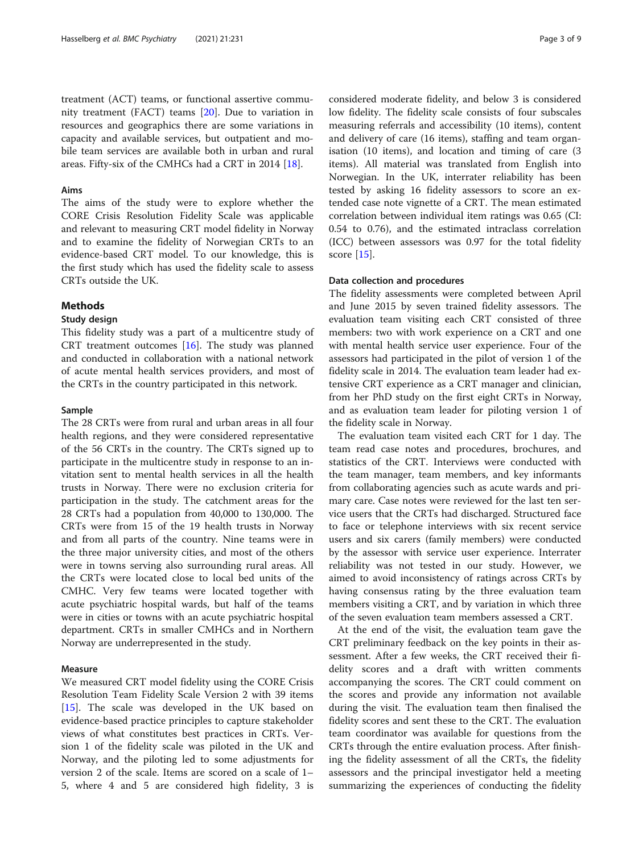treatment (ACT) teams, or functional assertive community treatment (FACT) teams [[20\]](#page-8-0). Due to variation in resources and geographics there are some variations in capacity and available services, but outpatient and mobile team services are available both in urban and rural areas. Fifty-six of the CMHCs had a CRT in 2014 [[18](#page-8-0)].

# Aims

The aims of the study were to explore whether the CORE Crisis Resolution Fidelity Scale was applicable and relevant to measuring CRT model fidelity in Norway and to examine the fidelity of Norwegian CRTs to an evidence-based CRT model. To our knowledge, this is the first study which has used the fidelity scale to assess CRTs outside the UK.

# **Methods**

# Study design

This fidelity study was a part of a multicentre study of CRT treatment outcomes  $[16]$  $[16]$ . The study was planned and conducted in collaboration with a national network of acute mental health services providers, and most of the CRTs in the country participated in this network.

# **Sample**

The 28 CRTs were from rural and urban areas in all four health regions, and they were considered representative of the 56 CRTs in the country. The CRTs signed up to participate in the multicentre study in response to an invitation sent to mental health services in all the health trusts in Norway. There were no exclusion criteria for participation in the study. The catchment areas for the 28 CRTs had a population from 40,000 to 130,000. The CRTs were from 15 of the 19 health trusts in Norway and from all parts of the country. Nine teams were in the three major university cities, and most of the others were in towns serving also surrounding rural areas. All the CRTs were located close to local bed units of the CMHC. Very few teams were located together with acute psychiatric hospital wards, but half of the teams were in cities or towns with an acute psychiatric hospital department. CRTs in smaller CMHCs and in Northern Norway are underrepresented in the study.

# Measure

We measured CRT model fidelity using the CORE Crisis Resolution Team Fidelity Scale Version 2 with 39 items [[15\]](#page-8-0). The scale was developed in the UK based on evidence-based practice principles to capture stakeholder views of what constitutes best practices in CRTs. Version 1 of the fidelity scale was piloted in the UK and Norway, and the piloting led to some adjustments for version 2 of the scale. Items are scored on a scale of 1– 5, where 4 and 5 are considered high fidelity, 3 is considered moderate fidelity, and below 3 is considered low fidelity. The fidelity scale consists of four subscales measuring referrals and accessibility (10 items), content and delivery of care (16 items), staffing and team organisation (10 items), and location and timing of care (3 items). All material was translated from English into Norwegian. In the UK, interrater reliability has been tested by asking 16 fidelity assessors to score an extended case note vignette of a CRT. The mean estimated correlation between individual item ratings was 0.65 (CI: 0.54 to 0.76), and the estimated intraclass correlation (ICC) between assessors was 0.97 for the total fidelity score [\[15](#page-8-0)].

# Data collection and procedures

The fidelity assessments were completed between April and June 2015 by seven trained fidelity assessors. The evaluation team visiting each CRT consisted of three members: two with work experience on a CRT and one with mental health service user experience. Four of the assessors had participated in the pilot of version 1 of the fidelity scale in 2014. The evaluation team leader had extensive CRT experience as a CRT manager and clinician, from her PhD study on the first eight CRTs in Norway, and as evaluation team leader for piloting version 1 of the fidelity scale in Norway.

The evaluation team visited each CRT for 1 day. The team read case notes and procedures, brochures, and statistics of the CRT. Interviews were conducted with the team manager, team members, and key informants from collaborating agencies such as acute wards and primary care. Case notes were reviewed for the last ten service users that the CRTs had discharged. Structured face to face or telephone interviews with six recent service users and six carers (family members) were conducted by the assessor with service user experience. Interrater reliability was not tested in our study. However, we aimed to avoid inconsistency of ratings across CRTs by having consensus rating by the three evaluation team members visiting a CRT, and by variation in which three of the seven evaluation team members assessed a CRT.

At the end of the visit, the evaluation team gave the CRT preliminary feedback on the key points in their assessment. After a few weeks, the CRT received their fidelity scores and a draft with written comments accompanying the scores. The CRT could comment on the scores and provide any information not available during the visit. The evaluation team then finalised the fidelity scores and sent these to the CRT. The evaluation team coordinator was available for questions from the CRTs through the entire evaluation process. After finishing the fidelity assessment of all the CRTs, the fidelity assessors and the principal investigator held a meeting summarizing the experiences of conducting the fidelity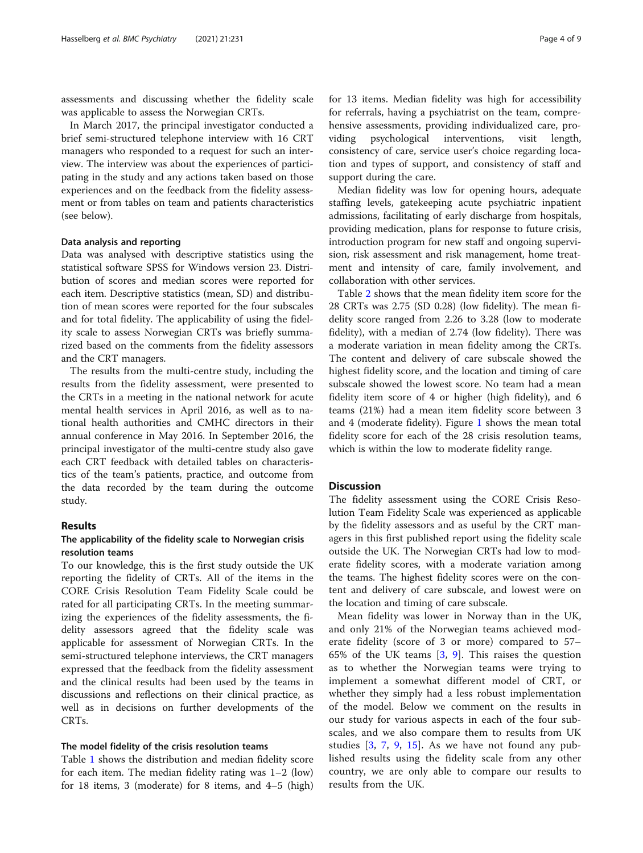assessments and discussing whether the fidelity scale was applicable to assess the Norwegian CRTs.

In March 2017, the principal investigator conducted a brief semi-structured telephone interview with 16 CRT managers who responded to a request for such an interview. The interview was about the experiences of participating in the study and any actions taken based on those experiences and on the feedback from the fidelity assessment or from tables on team and patients characteristics (see below).

# Data analysis and reporting

Data was analysed with descriptive statistics using the statistical software SPSS for Windows version 23. Distribution of scores and median scores were reported for each item. Descriptive statistics (mean, SD) and distribution of mean scores were reported for the four subscales and for total fidelity. The applicability of using the fidelity scale to assess Norwegian CRTs was briefly summarized based on the comments from the fidelity assessors and the CRT managers.

The results from the multi-centre study, including the results from the fidelity assessment, were presented to the CRTs in a meeting in the national network for acute mental health services in April 2016, as well as to national health authorities and CMHC directors in their annual conference in May 2016. In September 2016, the principal investigator of the multi-centre study also gave each CRT feedback with detailed tables on characteristics of the team's patients, practice, and outcome from the data recorded by the team during the outcome study.

# Results

# The applicability of the fidelity scale to Norwegian crisis resolution teams

To our knowledge, this is the first study outside the UK reporting the fidelity of CRTs. All of the items in the CORE Crisis Resolution Team Fidelity Scale could be rated for all participating CRTs. In the meeting summarizing the experiences of the fidelity assessments, the fidelity assessors agreed that the fidelity scale was applicable for assessment of Norwegian CRTs. In the semi-structured telephone interviews, the CRT managers expressed that the feedback from the fidelity assessment and the clinical results had been used by the teams in discussions and reflections on their clinical practice, as well as in decisions on further developments of the CRTs.

#### The model fidelity of the crisis resolution teams

Table [1](#page-4-0) shows the distribution and median fidelity score for each item. The median fidelity rating was 1–2 (low) for 18 items, 3 (moderate) for 8 items, and 4–5 (high) for 13 items. Median fidelity was high for accessibility for referrals, having a psychiatrist on the team, comprehensive assessments, providing individualized care, providing psychological interventions, visit length, consistency of care, service user's choice regarding location and types of support, and consistency of staff and support during the care.

Median fidelity was low for opening hours, adequate staffing levels, gatekeeping acute psychiatric inpatient admissions, facilitating of early discharge from hospitals, providing medication, plans for response to future crisis, introduction program for new staff and ongoing supervision, risk assessment and risk management, home treatment and intensity of care, family involvement, and collaboration with other services.

Table [2](#page-5-0) shows that the mean fidelity item score for the 28 CRTs was 2.75 (SD 0.28) (low fidelity). The mean fidelity score ranged from 2.26 to 3.28 (low to moderate fidelity), with a median of 2.74 (low fidelity). There was a moderate variation in mean fidelity among the CRTs. The content and delivery of care subscale showed the highest fidelity score, and the location and timing of care subscale showed the lowest score. No team had a mean fidelity item score of 4 or higher (high fidelity), and 6 teams (21%) had a mean item fidelity score between 3 and 4 (moderate fidelity). Figure [1](#page-6-0) shows the mean total fidelity score for each of the 28 crisis resolution teams, which is within the low to moderate fidelity range.

# **Discussion**

The fidelity assessment using the CORE Crisis Resolution Team Fidelity Scale was experienced as applicable by the fidelity assessors and as useful by the CRT managers in this first published report using the fidelity scale outside the UK. The Norwegian CRTs had low to moderate fidelity scores, with a moderate variation among the teams. The highest fidelity scores were on the content and delivery of care subscale, and lowest were on the location and timing of care subscale.

Mean fidelity was lower in Norway than in the UK, and only 21% of the Norwegian teams achieved moderate fidelity (score of 3 or more) compared to 57– 65% of the UK teams [\[3](#page-8-0), [9](#page-8-0)]. This raises the question as to whether the Norwegian teams were trying to implement a somewhat different model of CRT, or whether they simply had a less robust implementation of the model. Below we comment on the results in our study for various aspects in each of the four subscales, and we also compare them to results from UK studies [\[3](#page-8-0), [7](#page-8-0), [9](#page-8-0), [15](#page-8-0)]. As we have not found any published results using the fidelity scale from any other country, we are only able to compare our results to results from the UK.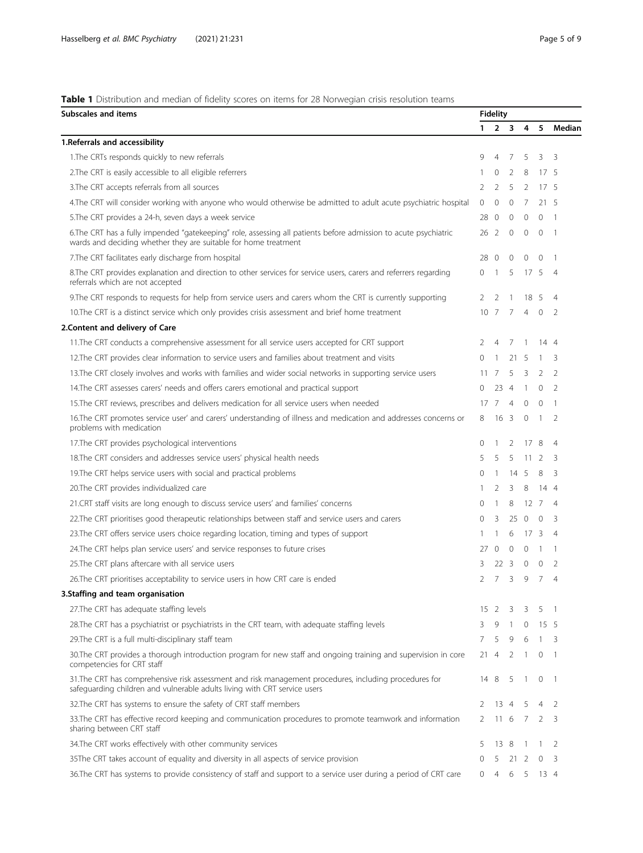# <span id="page-4-0"></span>Table 1 Distribution and median of fidelity scores on items for 28 Norwegian crisis resolution teams

| <b>Subscales and items</b>                                                                                                                                                          |            | <b>Fidelity</b> |                |                 |                 |                |  |  |  |  |
|-------------------------------------------------------------------------------------------------------------------------------------------------------------------------------------|------------|-----------------|----------------|-----------------|-----------------|----------------|--|--|--|--|
|                                                                                                                                                                                     |            | $\mathbf{1}$    | 2 <sub>3</sub> | 4               | 5               | Median         |  |  |  |  |
| 1. Referrals and accessibility                                                                                                                                                      |            |                 |                |                 |                 |                |  |  |  |  |
| 1. The CRTs responds quickly to new referrals                                                                                                                                       | 9          | $\overline{4}$  | 7              | 5               | 3               | 3              |  |  |  |  |
| 2. The CRT is easily accessible to all eligible referrers                                                                                                                           | 1          | $\circ$         | 2              | 8               | 17 <sub>5</sub> |                |  |  |  |  |
| 3. The CRT accepts referrals from all sources                                                                                                                                       | 2          | $\overline{2}$  | 5              | $\overline{2}$  | 17 <sub>5</sub> |                |  |  |  |  |
| 4. The CRT will consider working with anyone who would otherwise be admitted to adult acute psychiatric hospital                                                                    | 0          | $\Omega$        | $\Omega$       | 7               | 21 5            |                |  |  |  |  |
| 5. The CRT provides a 24-h, seven days a week service                                                                                                                               | 28         | 0               | 0              | $\circ$         | 0               | 1              |  |  |  |  |
| 6.The CRT has a fully impended "gatekeeping" role, assessing all patients before admission to acute psychiatric<br>wards and deciding whether they are suitable for home treatment  | 26         | - 2             | $\mathbf 0$    | 0               | $\mathbf 0$     | -1             |  |  |  |  |
| 7. The CRT facilitates early discharge from hospital                                                                                                                                | 28         | 0               | 0              | 0               | $\mathbf 0$     | -1             |  |  |  |  |
| 8. The CRT provides explanation and direction to other services for service users, carers and referrers regarding<br>referrals which are not accepted                               | 0          | -1              | 5              | 17 5            |                 | 4              |  |  |  |  |
| 9. The CRT responds to requests for help from service users and carers whom the CRT is currently supporting                                                                         | 2          | 2               |                | 18              | -5              | 4              |  |  |  |  |
| 10. The CRT is a distinct service which only provides crisis assessment and brief home treatment                                                                                    | 10         | - 7             | 7              | $\overline{4}$  | $\mathbf 0$     | 2              |  |  |  |  |
| 2. Content and delivery of Care                                                                                                                                                     |            |                 |                |                 |                 |                |  |  |  |  |
| 11. The CRT conducts a comprehensive assessment for all service users accepted for CRT support                                                                                      | 2          | $\overline{4}$  | 7              | -1              | 14 4            |                |  |  |  |  |
| 12. The CRT provides clear information to service users and families about treatment and visits                                                                                     | 0          |                 | 21             | 5               | 1               | 3              |  |  |  |  |
| 13. The CRT closely involves and works with families and wider social networks in supporting service users                                                                          | 11         | 7               | 5              | 3               | 2               | 2              |  |  |  |  |
| 14. The CRT assesses carers' needs and offers carers emotional and practical support                                                                                                | 0          | 23              | -4             | $\mathbf{1}$    | $\mathbf 0$     | 2              |  |  |  |  |
| 15. The CRT reviews, prescribes and delivers medication for all service users when needed                                                                                           | 17         | 7               | $\overline{4}$ | $\mathbf 0$     | $\circ$         | 1              |  |  |  |  |
| 16. The CRT promotes service user' and carers' understanding of illness and medication and addresses concerns or<br>problems with medication                                        | 8          | 16 <sub>3</sub> |                | $\mathbf{0}$    | $\overline{1}$  | 2              |  |  |  |  |
| 17. The CRT provides psychological interventions                                                                                                                                    | 0          | 1               | 2              | 178             |                 | 4              |  |  |  |  |
| 18. The CRT considers and addresses service users' physical health needs                                                                                                            | 5          | 5               | 5              | 11              | 2               | 3              |  |  |  |  |
| 19. The CRT helps service users with social and practical problems                                                                                                                  | 0          | -1              | 14             | -5              | 8               | 3              |  |  |  |  |
| 20. The CRT provides individualized care                                                                                                                                            |            | 2               | 3              | 8               | 14 4            |                |  |  |  |  |
| 21.CRT staff visits are long enough to discuss service users' and families' concerns                                                                                                | 0          | -1              | 8              | 12              | -7              | 4              |  |  |  |  |
| 22. The CRT prioritises good therapeutic relationships between staff and service users and carers                                                                                   | 0          | 3               | 25             | $\overline{0}$  | $\mathbf 0$     | 3              |  |  |  |  |
| 23. The CRT offers service users choice regarding location, timing and types of support                                                                                             |            |                 | 6              | 17 <sup>3</sup> |                 | $\overline{4}$ |  |  |  |  |
| 24. The CRT helps plan service users' and service responses to future crises                                                                                                        | 27         | $\circ$         | $\mathbf{0}$   | $\circ$         | 1               | 1              |  |  |  |  |
| 25. The CRT plans aftercare with all service users                                                                                                                                  | 3          | 22 <sup>3</sup> |                | $\mathbf{0}$    | $\Omega$        | $\mathcal{L}$  |  |  |  |  |
| 26. The CRT prioritises acceptability to service users in how CRT care is ended                                                                                                     | 2          | $\mathcal{I}$   | 3              | 9               | 7               | 4              |  |  |  |  |
| 3. Staffing and team organisation                                                                                                                                                   |            |                 |                |                 |                 |                |  |  |  |  |
| 27. The CRT has adequate staffing levels                                                                                                                                            | $15\quad2$ |                 | 3              | 3               | 5               | $\overline{1}$ |  |  |  |  |
| 28. The CRT has a psychiatrist or psychiatrists in the CRT team, with adequate staffing levels                                                                                      | 3          | 9               |                | $\mathbf{0}$    | 15 5            |                |  |  |  |  |
| 29. The CRT is a full multi-disciplinary staff team                                                                                                                                 | 7          | 5               | 9              | 6               | $\mathbf{1}$    | 3              |  |  |  |  |
| 30. The CRT provides a thorough introduction program for new staff and ongoing training and supervision in core<br>competencies for CRT staff                                       | 21         | $\overline{4}$  | 2              | $\mathbf{1}$    | 0               | -1             |  |  |  |  |
| 31. The CRT has comprehensive risk assessment and risk management procedures, including procedures for<br>safeguarding children and vulnerable adults living with CRT service users | 14 8       |                 | 5              | $\overline{1}$  | 0               | $\overline{1}$ |  |  |  |  |
| 32. The CRT has systems to ensure the safety of CRT staff members                                                                                                                   | 2          | $13 \quad 4$    |                | 5               | $\overline{4}$  | 2              |  |  |  |  |
| 33. The CRT has effective record keeping and communication procedures to promote teamwork and information<br>sharing between CRT staff                                              | 2          | 11              | 6              | 7               | 2               | 3              |  |  |  |  |
| 34. The CRT works effectively with other community services                                                                                                                         | 5          | 13              | -8             | $\overline{1}$  | 1               | 2              |  |  |  |  |
| 35The CRT takes account of equality and diversity in all aspects of service provision                                                                                               | 0          | 5               | 21             | 2               | 0               | 3              |  |  |  |  |
| 36. The CRT has systems to provide consistency of staff and support to a service user during a period of CRT care                                                                   | 0          | 4               |                | 6 5             | 13 4            |                |  |  |  |  |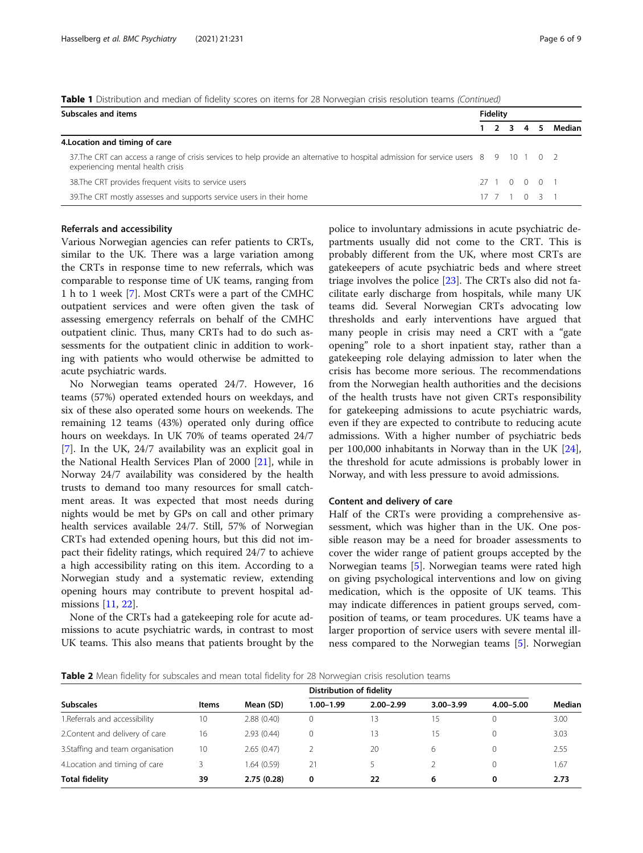| Subscales and items                                                                                                                                                        |  | <b>Fidelity</b> |                 |  |  |        |  |  |  |
|----------------------------------------------------------------------------------------------------------------------------------------------------------------------------|--|-----------------|-----------------|--|--|--------|--|--|--|
|                                                                                                                                                                            |  |                 | $1 \t2 \t3 \t4$ |  |  | Median |  |  |  |
| 4. Location and timing of care                                                                                                                                             |  |                 |                 |  |  |        |  |  |  |
| 37. The CRT can access a range of crisis services to help provide an alternative to hospital admission for service users 8 9 10 1 0 2<br>experiencing mental health crisis |  |                 |                 |  |  |        |  |  |  |
| 38. The CRT provides frequent visits to service users                                                                                                                      |  |                 | 27 1 0 0 0 1    |  |  |        |  |  |  |
| 39. The CRT mostly assesses and supports service users in their home                                                                                                       |  |                 | 17 7 1 0 3 1    |  |  |        |  |  |  |

<span id="page-5-0"></span>Table 1 Distribution and median of fidelity scores on items for 28 Norwegian crisis resolution teams (Continued)

## Referrals and accessibility

Various Norwegian agencies can refer patients to CRTs, similar to the UK. There was a large variation among the CRTs in response time to new referrals, which was comparable to response time of UK teams, ranging from 1 h to 1 week [[7\]](#page-8-0). Most CRTs were a part of the CMHC outpatient services and were often given the task of assessing emergency referrals on behalf of the CMHC outpatient clinic. Thus, many CRTs had to do such assessments for the outpatient clinic in addition to working with patients who would otherwise be admitted to acute psychiatric wards.

No Norwegian teams operated 24/7. However, 16 teams (57%) operated extended hours on weekdays, and six of these also operated some hours on weekends. The remaining 12 teams (43%) operated only during office hours on weekdays. In UK 70% of teams operated 24/7 [[7\]](#page-8-0). In the UK, 24/7 availability was an explicit goal in the National Health Services Plan of 2000 [[21](#page-8-0)], while in Norway 24/7 availability was considered by the health trusts to demand too many resources for small catchment areas. It was expected that most needs during nights would be met by GPs on call and other primary health services available 24/7. Still, 57% of Norwegian CRTs had extended opening hours, but this did not impact their fidelity ratings, which required 24/7 to achieve a high accessibility rating on this item. According to a Norwegian study and a systematic review, extending opening hours may contribute to prevent hospital admissions [[11,](#page-8-0) [22\]](#page-8-0).

None of the CRTs had a gatekeeping role for acute admissions to acute psychiatric wards, in contrast to most UK teams. This also means that patients brought by the police to involuntary admissions in acute psychiatric departments usually did not come to the CRT. This is probably different from the UK, where most CRTs are gatekeepers of acute psychiatric beds and where street triage involves the police [[23\]](#page-8-0). The CRTs also did not facilitate early discharge from hospitals, while many UK teams did. Several Norwegian CRTs advocating low thresholds and early interventions have argued that many people in crisis may need a CRT with a "gate opening" role to a short inpatient stay, rather than a gatekeeping role delaying admission to later when the crisis has become more serious. The recommendations from the Norwegian health authorities and the decisions of the health trusts have not given CRTs responsibility for gatekeeping admissions to acute psychiatric wards, even if they are expected to contribute to reducing acute admissions. With a higher number of psychiatric beds per 100,000 inhabitants in Norway than in the UK [\[24](#page-8-0)], the threshold for acute admissions is probably lower in Norway, and with less pressure to avoid admissions.

### Content and delivery of care

Half of the CRTs were providing a comprehensive assessment, which was higher than in the UK. One possible reason may be a need for broader assessments to cover the wider range of patient groups accepted by the Norwegian teams [[5\]](#page-8-0). Norwegian teams were rated high on giving psychological interventions and low on giving medication, which is the opposite of UK teams. This may indicate differences in patient groups served, composition of teams, or team procedures. UK teams have a larger proportion of service users with severe mental illness compared to the Norwegian teams [[5\]](#page-8-0). Norwegian

Table 2 Mean fidelity for subscales and mean total fidelity for 28 Norwegian crisis resolution teams

|                                   |              |             | Distribution of fidelity |               |               |               |        |  |
|-----------------------------------|--------------|-------------|--------------------------|---------------|---------------|---------------|--------|--|
| <b>Subscales</b>                  | <b>Items</b> | Mean (SD)   | $1.00 - 1.99$            | $2.00 - 2.99$ | $3.00 - 3.99$ | $4.00 - 5.00$ | Median |  |
| 1. Referrals and accessibility    | 10           | 2.88(0.40)  |                          | ' 3           | 15            | 0             | 3.00   |  |
| 2. Content and delivery of care   | 16           | 2.93(0.44)  |                          | 13            | 15            | 0             | 3.03   |  |
| 3. Staffing and team organisation | 10           | 2.65(0.47)  |                          | 20            | 6             | 0             | 2.55   |  |
| 4. Location and timing of care    |              | 1.64 (0.59) | 21                       |               |               | 0             | .67    |  |
| <b>Total fidelity</b>             | 39           | 2.75(0.28)  | 0                        | 22            | 6             | 0             | 2.73   |  |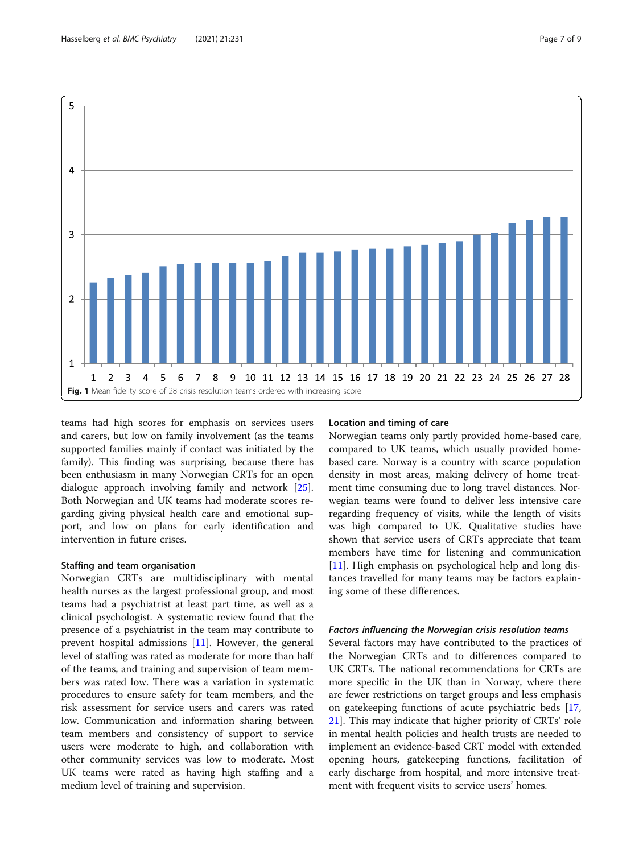<span id="page-6-0"></span>

teams had high scores for emphasis on services users and carers, but low on family involvement (as the teams supported families mainly if contact was initiated by the family). This finding was surprising, because there has been enthusiasm in many Norwegian CRTs for an open dialogue approach involving family and network [\[25](#page-8-0)]. Both Norwegian and UK teams had moderate scores regarding giving physical health care and emotional support, and low on plans for early identification and intervention in future crises.

# Staffing and team organisation

Norwegian CRTs are multidisciplinary with mental health nurses as the largest professional group, and most teams had a psychiatrist at least part time, as well as a clinical psychologist. A systematic review found that the presence of a psychiatrist in the team may contribute to prevent hospital admissions [[11\]](#page-8-0). However, the general level of staffing was rated as moderate for more than half of the teams, and training and supervision of team members was rated low. There was a variation in systematic procedures to ensure safety for team members, and the risk assessment for service users and carers was rated low. Communication and information sharing between team members and consistency of support to service users were moderate to high, and collaboration with other community services was low to moderate. Most UK teams were rated as having high staffing and a medium level of training and supervision.

# Location and timing of care

Norwegian teams only partly provided home-based care, compared to UK teams, which usually provided homebased care. Norway is a country with scarce population density in most areas, making delivery of home treatment time consuming due to long travel distances. Norwegian teams were found to deliver less intensive care regarding frequency of visits, while the length of visits was high compared to UK. Qualitative studies have shown that service users of CRTs appreciate that team members have time for listening and communication [[11\]](#page-8-0). High emphasis on psychological help and long distances travelled for many teams may be factors explaining some of these differences.

# Factors influencing the Norwegian crisis resolution teams

Several factors may have contributed to the practices of the Norwegian CRTs and to differences compared to UK CRTs. The national recommendations for CRTs are more specific in the UK than in Norway, where there are fewer restrictions on target groups and less emphasis on gatekeeping functions of acute psychiatric beds [[17](#page-8-0), [21\]](#page-8-0). This may indicate that higher priority of CRTs' role in mental health policies and health trusts are needed to implement an evidence-based CRT model with extended opening hours, gatekeeping functions, facilitation of early discharge from hospital, and more intensive treatment with frequent visits to service users' homes.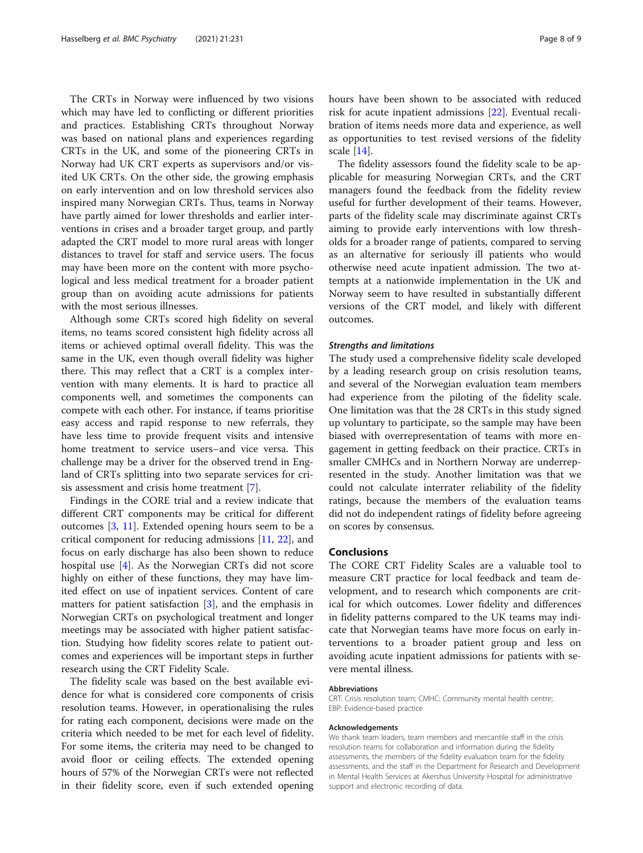The CRTs in Norway were influenced by two visions which may have led to conflicting or different priorities and practices. Establishing CRTs throughout Norway was based on national plans and experiences regarding CRTs in the UK, and some of the pioneering CRTs in Norway had UK CRT experts as supervisors and/or visited UK CRTs. On the other side, the growing emphasis on early intervention and on low threshold services also inspired many Norwegian CRTs. Thus, teams in Norway have partly aimed for lower thresholds and earlier interventions in crises and a broader target group, and partly adapted the CRT model to more rural areas with longer distances to travel for staff and service users. The focus may have been more on the content with more psychological and less medical treatment for a broader patient group than on avoiding acute admissions for patients with the most serious illnesses.

Although some CRTs scored high fidelity on several items, no teams scored consistent high fidelity across all items or achieved optimal overall fidelity. This was the same in the UK, even though overall fidelity was higher there. This may reflect that a CRT is a complex intervention with many elements. It is hard to practice all components well, and sometimes the components can compete with each other. For instance, if teams prioritise easy access and rapid response to new referrals, they have less time to provide frequent visits and intensive home treatment to service users–and vice versa. This challenge may be a driver for the observed trend in England of CRTs splitting into two separate services for crisis assessment and crisis home treatment [\[7](#page-8-0)].

Findings in the CORE trial and a review indicate that different CRT components may be critical for different outcomes [[3,](#page-8-0) [11](#page-8-0)]. Extended opening hours seem to be a critical component for reducing admissions [\[11,](#page-8-0) [22](#page-8-0)], and focus on early discharge has also been shown to reduce hospital use [\[4](#page-8-0)]. As the Norwegian CRTs did not score highly on either of these functions, they may have limited effect on use of inpatient services. Content of care matters for patient satisfaction [[3](#page-8-0)], and the emphasis in Norwegian CRTs on psychological treatment and longer meetings may be associated with higher patient satisfaction. Studying how fidelity scores relate to patient outcomes and experiences will be important steps in further research using the CRT Fidelity Scale.

The fidelity scale was based on the best available evidence for what is considered core components of crisis resolution teams. However, in operationalising the rules for rating each component, decisions were made on the criteria which needed to be met for each level of fidelity. For some items, the criteria may need to be changed to avoid floor or ceiling effects. The extended opening hours of 57% of the Norwegian CRTs were not reflected in their fidelity score, even if such extended opening hours have been shown to be associated with reduced risk for acute inpatient admissions [\[22](#page-8-0)]. Eventual recalibration of items needs more data and experience, as well as opportunities to test revised versions of the fidelity scale [\[14](#page-8-0)].

The fidelity assessors found the fidelity scale to be applicable for measuring Norwegian CRTs, and the CRT managers found the feedback from the fidelity review useful for further development of their teams. However, parts of the fidelity scale may discriminate against CRTs aiming to provide early interventions with low thresholds for a broader range of patients, compared to serving as an alternative for seriously ill patients who would otherwise need acute inpatient admission. The two attempts at a nationwide implementation in the UK and Norway seem to have resulted in substantially different versions of the CRT model, and likely with different outcomes.

#### Strengths and limitations

The study used a comprehensive fidelity scale developed by a leading research group on crisis resolution teams, and several of the Norwegian evaluation team members had experience from the piloting of the fidelity scale. One limitation was that the 28 CRTs in this study signed up voluntary to participate, so the sample may have been biased with overrepresentation of teams with more engagement in getting feedback on their practice. CRTs in smaller CMHCs and in Northern Norway are underrepresented in the study. Another limitation was that we could not calculate interrater reliability of the fidelity ratings, because the members of the evaluation teams did not do independent ratings of fidelity before agreeing on scores by consensus.

# Conclusions

The CORE CRT Fidelity Scales are a valuable tool to measure CRT practice for local feedback and team development, and to research which components are critical for which outcomes. Lower fidelity and differences in fidelity patterns compared to the UK teams may indicate that Norwegian teams have more focus on early interventions to a broader patient group and less on avoiding acute inpatient admissions for patients with severe mental illness.

# Abbreviations

CRT: Crisis resolution team; CMHC: Community mental health centre; EBP: Evidence-based practice

#### Acknowledgements

We thank team leaders, team members and mercantile staff in the crisis resolution teams for collaboration and information during the fidelity assessments, the members of the fidelity evaluation team for the fidelity assessments, and the staff in the Department for Research and Development in Mental Health Services at Akershus University Hospital for administrative support and electronic recording of data.